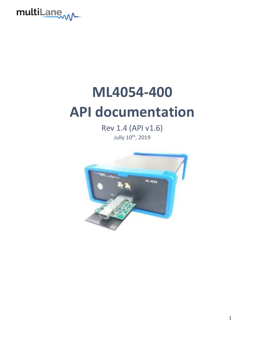

# **ML4054-400 API documentation**

Rev 1.4 (API v1.6) Jully 10th, 2019

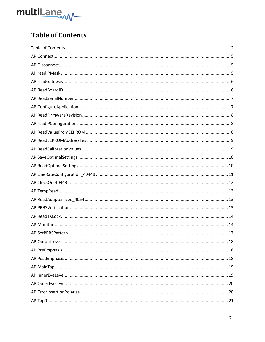

# <span id="page-1-0"></span>**Table of Contents**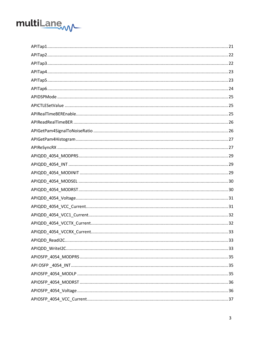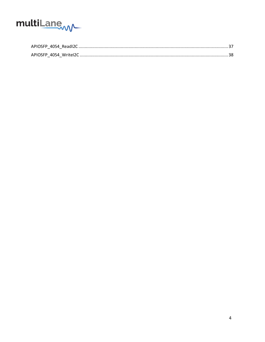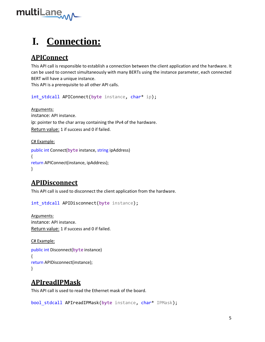

# **I. Connection:**

# <span id="page-4-0"></span>**APIConnect**

This API call is responsible to establish a connection between the client application and the hardware. It can be used to connect simultaneously with many BERTs using the instance parameter, each connected BERT will have a unique instance.

This API is a prerequisite to all other API calls.

int\_stdcall APIConnect(byte instance, char\* ip);

Arguments: instance: API instance. ip: pointer to the char array containing the IPv4 of the hardware. Return value: 1 if success and 0 if failed.

C# Example:

```
public int Connect(byte instance, string ipAddress)
{
return APIConnect(instance, ipAddress);
}
```
# <span id="page-4-1"></span>**APIDisconnect**

This API call is used to disconnect the client application from the hardware.

int stdcall APIDisconnect(byte instance);

Arguments: instance: API instance. Return value: 1 if success and 0 if failed.

C# Example: public int Disconnect(byte instance) { return APIDisconnect(instance); }

# <span id="page-4-2"></span>**APIreadIPMask**

This API call is used to read the Ethernet mask of the board.

bool stdcall APIreadIPMask(byte instance, char\* IPMask);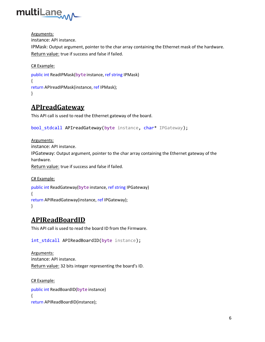

Arguments:

instance: API instance.

IPMask: Output argument, pointer to the char array containing the Ethernet mask of the hardware. Return value: true if success and false if failed.

C# Example:

```
public int ReadIPMask(byte instance, ref string IPMask)
{
return APIreadIPMask(instance, ref IPMask);
}
```
#### <span id="page-5-0"></span>**APIreadGateway**

This API call is used to read the Ethernet gateway of the board.

```
bool stdcall APIreadGateway(byte instance, char* IPGateway);
```
Arguments: instance: API instance. IPGateway: Output argument, pointer to the char array containing the Ethernet gateway of the hardware.

Return value: true if success and false if failed.

C# Example: public int ReadGateway(byte instance, ref string IPGateway) { return APIReadGateway(instance, ref IPGateway); }

#### <span id="page-5-1"></span>**APIReadBoardID**

This API call is used to read the board ID from the Firmware.

```
int stdcall APIReadBoardID(byte instance);
```
Arguments: instance: API instance. Return value: 32 bits integer representing the board's ID.

C# Example: public int ReadBoardID(byte instance) { return APIReadBoardID(instance);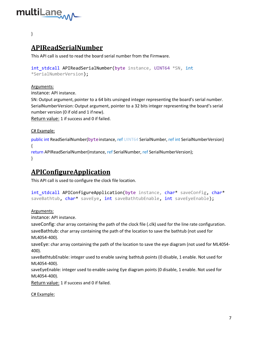

#### }

# <span id="page-6-0"></span>**APIReadSerialNumber**

This API call is used to read the board serial number from the Firmware.

```
int stdcall APIReadSerialNumber(byte instance, UINT64 *SN, int
*SerialNumberVersion);
```
#### Arguments:

instance: API instance.

SN: Output argument, pointer to a 64 bits unsinged integer representing the board's serial number. SerialNumberVersion: Output argument, pointer to a 32 bits integer representing the board's serial number version (0 if old and 1 ifnew).

Return value: 1 if success and 0 if failed.

C# Example:

public int ReadSerialNumber(byteinstance, ref UINT64 SerialNumber, ref int SerialNumberVersion) { return APIReadSerialNumber(instance, ref SerialNumber, ref SerialNumberVersion);

}

#### <span id="page-6-1"></span>**APIConfigureApplication**

This API call is used to configure the clock file location.

```
int_stdcall APIConfigureApplication(byte instance, char* saveConfig, char*
saveBathtub, char* saveEye, int saveBathtubEnable, int saveEyeEnable);
```
Arguments:

instance: API instance.

saveConfig: char array containing the path of the clock file (.clk) used for the line rate configuration.

saveBathtub: char array containing the path of the location to save the bathtub (not used for ML4054-400).

saveEye: char array containing the path of the location to save the eye diagram (not used for ML4054- 400).

saveBathtubEnable: integer used to enable saving bathtub points (0 disable, 1 enable. Not used for ML4054-400).

saveEyeEnable: integer used to enable saving Eye diagram points (0 disable, 1 enable. Not used for ML4054-400).

Return value: 1 if success and 0 if failed.

C# Example: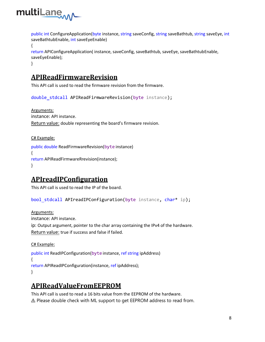

public int ConfigureApplication(byte instance, string saveConfig, string saveBathtub, string saveEye, int saveBathtubEnable, int saveEyeEnable) {

```
return APIConfigureApplication( instance, saveConfig, saveBathtub, saveEye, saveBathtubEnable, 
saveEyeEnable);
```
#### }

#### <span id="page-7-0"></span>**APIReadFirmwareRevision**

This API call is used to read the firmware revision from the firmware.

double stdcall APIReadFirmwareRevision(byte instance);

Arguments: instance: API instance. Return value: double representing the board's firmware revision.

#### C# Example:

```
public double ReadFirmwareRevision(byte instance)
{
return APIReadFirmwareRrevision(instance);
}
```
#### <span id="page-7-1"></span>**APIreadIPConfiguration**

This API call is used to read the IP of the board.

bool stdcall APIreadIPConfiguration(byte instance, char\* ip);

Arguments:

instance: API instance.

ip: Output argument, pointer to the char array containing the IPv4 of the hardware. Return value: true if success and false if failed.

C# Example:

```
public int ReadIPConfiguration(byte instance, ref string ipAddress)
{
return APIReadIPConfiguration(instance, ref ipAddress);
}
```
#### <span id="page-7-2"></span>**APIReadValueFromEEPROM**

This API call is used to read a 16 bits value from the EEPROM of the hardware.  $\triangle$  Please double check with ML support to get EEPROM address to read from.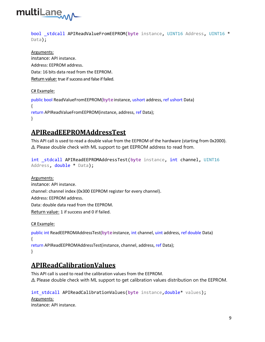

bool stdcall APIReadValueFromEEPROM(byte instance, UINT16 Address, UINT16 \* Data);

Arguments: instance: API instance. Address: EEPROM address. Data: 16 bits data read from the EEPROM. Return value: true if success and false if failed.

#### C# Example:

```
public bool ReadValueFromEEPROM(byteinstance, ushort address, ref ushort Data)
{
return APIReadValueFromEEPROM(instance, address, ref Data);
}
```
# <span id="page-8-0"></span>**APIReadEEPROMAddressTest**

This API call is used to read a double value from the EEPROM of the hardware (starting from 0x2000). ⚠ Please double check with ML support to get EEPROM address to read from.

```
int stdcall APIReadEEPROMAddressTest(byte instance, int channel, UINT16
Address, double * Data);
```
Arguments: instance: API instance. channel: channel index (0x300 EEPROM register for every channel). Address: EEPROM address. Data: double data read from the EEPROM. Return value: 1 if success and 0 if failed.

C# Example:

```
public int ReadEEPROMAddressTest(byteinstance, int channel, uint address, ref double Data)
{
return APIReadEEPROMAddressTest(instance, channel, address, ref Data);
}
```
# <span id="page-8-1"></span>**APIReadCalibrationValues**

This API call is used to read the calibration values from the EEPROM. ⚠ Please double check with ML support to get calibration values distribution on the EEPROM.

int stdcall APIReadCalibrationValues(byte instance, double\* values); Arguments: instance: API instance.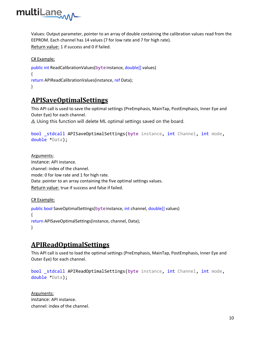

Values: Output parameter, pointer to an array of double containing the calibration values read from the EEPROM. Each channel has 14 values (7 for low rate and 7 for high rate). Return value: 1 if success and 0 if failed.

C# Example:

```
public int ReadCalibrationValues(byte instance, double[] values)
{
return APIReadCalibrationValues(instance, ref Data);
}
```
#### <span id="page-9-0"></span>**APISaveOptimalSettings**

This API call is used to save the optimal settings (PreEmphasis, MainTap, PostEmphasis, Inner Eye and Outer Eye) for each channel.

⚠ Using this function will delete ML optimal settings saved on the board.

```
bool stdcall APISaveOptimalSettings(byte instance, int Channel, int mode,
double *Data);
```
Arguments: instance: API instance. channel: index of the channel. mode: 0 for low rate and 1 for high rate. Data: pointer to an array containing the five optimal settings values. Return value: true if success and false if failed.

C# Example:

```
public bool SaveOptimalSettings(byteinstance, int channel, double[] values)
{
return APISaveOptimalSettings(instance, channel, Data);
}
```
#### <span id="page-9-1"></span>**APIReadOptimalSettings**

This API call is used to load the optimal settings (PreEmphasis, MainTap, PostEmphasis, Inner Eye and Outer Eye) for each channel.

```
bool stdcall APIReadOptimalSettings(byte instance, int Channel, int mode,
double *Data);
```
Arguments: instance: API instance. channel: index of the channel.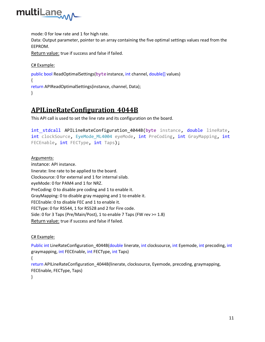

mode: 0 for low rate and 1 for high rate.

Data: Output parameter, pointer to an array containing the five optimal settings values read from the EEPROM.

Return value: true if success and false if failed.

C# Example:

```
public bool ReadOptimalSettings(byte instance, int channel, double[] values)
{
return APIReadOptimalSettings(instance, channel, Data);
}
```
#### <span id="page-10-0"></span>**APILineRateConfiguration\_4044B**

This API call is used to set the line rate and its configuration on the board.

int stdcall APILineRateConfiguration 4044B(byte instance, double lineRate, int clockSource, EyeMode ML4004 eyeMode, int PreCoding, int GrayMapping, int FECEnable, int FECType, int Taps);

Arguments:

instance: API instance. linerate: line rate to be applied to the board. Clocksource: 0 for external and 1 for internal silab. eyeMode: 0 for PAM4 and 1 for NRZ. PreCoding: 0 to disable pre coding and 1 to enable it. GrayMapping: 0 to disable gray mapping and 1 to enable it. FECEnable: 0 to disable FEC and 1 to enable it. FECType: 0 for RS544, 1 for RS528 and 2 for Fire code. Side: 0 for 3 Taps (Pre/Main/Post), 1 to enable 7 Taps (FW rev >= 1.8) Return value: true if success and false if failed.

C# Example:

Public int LineRateConfiguration\_4044B(double linerate, int clocksource, int Eyemode, int precoding, int graymapping, int FECEnable, int FECType, int Taps)

{

return APILineRateConfiguration\_4044B(linerate, clocksource, Eyemode, precoding, graymapping, FECEnable, FECType, Taps)

}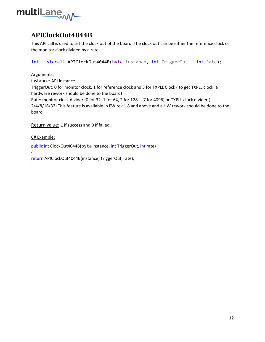

## <span id="page-11-0"></span>**APIClockOut4044B**

This API call is used to set the clock out of the board. The clock out can be either the reference clock or the monitor clock divided by a rate.

int stdcall APIClockOut4044B(byte instance, int TriggerOut, int Rate);

#### Arguments:

instance: API instance.

TriggerOut: 0 for monitor clock, 1 for reference clock and 3 for TXPLL Clock ( to get TXPLL clock, a hardware rework should be done to the board)

Rate: monitor clock divider (0 for 32, 1 for 64, 2 for 128…. 7 for 4096) or TXPLL clock divider ( 2/4/8/16/32) This feature is available in FW rev 1.8 and above and a HW rework should be done to the board.

Return value: 1 if success and 0 if failed.

C# Example:

public int ClockOut4044B(byte instance, int TriggerOut, int rate) { return APIClockOut4044B(instance, TriggerOut, rate); }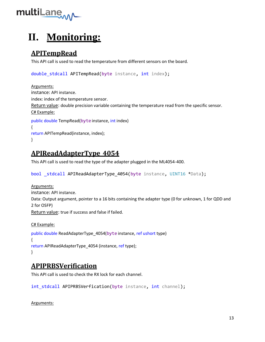

# **II. Monitoring:**

# <span id="page-12-0"></span>**APITempRead**

This API call is used to read the temperature from different sensors on the board.

```
double stdcall APITempRead(byte instance, int index);
```

```
Arguments:
instance: API instance.
index: index of the temperature sensor.
Return value: double precision variable containing the temperature read from the specific sensor. 
C# Example:
public double TempRead(byte instance, int index)
{
return APITempRead(instance, index);
}
```
# <span id="page-12-1"></span>**APIReadAdapterType\_4054**

This API call is used to read the type of the adapter plugged in the ML4054-400.

```
bool _stdcall APIReadAdapterType_4054(byte instance, UINT16 *Data);
```

```
Arguments:
instance: API instance.
Data: Output argument, pointer to a 16 bits containing the adapter type (0 for unknown, 1 for QDD and 
2 for OSFP)
Return value: true if success and false if failed.
```

```
C# Example:
public double ReadAdapterType_4054(byte instance, ref ushort type)
{
return APIReadAdapterType 4054 (instance, ref type);
}
```
#### <span id="page-12-2"></span>**APIPRBSVerification**

This API call is used to check the RX lock for each channel.

int stdcall APIPRBSVerfication(byte instance, int channel);

Arguments: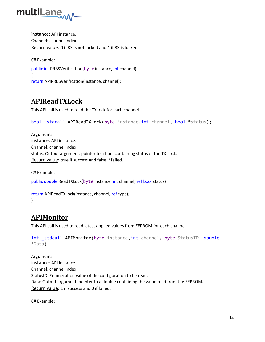

instance: API instance. Channel: channel index. Return value: 0 if RX is not locked and 1 if RX is locked.

```
C# Example:
public int PRBSVerification(byte instance, int channel)
{
return APIPRBSVerification(instance, channel);
}
```
## <span id="page-13-0"></span>**APIReadTXLock**

This API call is used to read the TX lock for each channel.

```
bool stdcall APIReadTXLock(byte instance, int channel, bool *status);
```

```
Arguments:
instance: API instance.
Channel: channel index.
status: Output argument, pointer to a bool containing status of the TX Lock.
Return value: true if success and false if failed.
```

```
C# Example:
public double ReadTXLock(byte instance, int channel, ref bool status)
{
return APIReadTXLock(instance, channel, ref type);
}
```
# <span id="page-13-1"></span>**APIMonitor**

This API call is used to read latest applied values from EEPROM for each channel.

```
int stdcall APIMonitor(byte instance, int channel, byte StatusID, double
*Data);
```
Arguments: instance: API instance. Channel: channel index. StatusID: Enumeration value of the configuration to be read. Data: Output argument, pointer to a double containing the value read from the EEPROM. Return value: 1 if success and 0 if failed.

C# Example: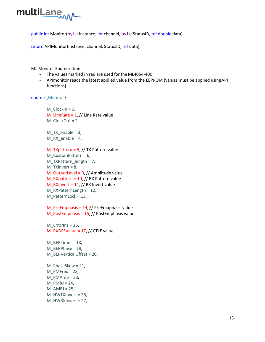

```
public int Monitor(byte instance, int channel, byte StatusID, ref double data)
{
return APIMonitor(instance, channel, StatusID, ref data);
}
```
ML Monitor Enumeration:

- The values marked in red are used for the ML4054-400
- APImonitor reads the latest applied value from the EEPROM (values must be applied usingAPI functions)

enum E\_Monitor {

```
M<sup>O</sup>ClockIn = 0,
M_LineRate = 1, // Line Rate value
M_ClockOut = 2,
M_TX_enable = 3,
M_RX_enable = 4,
M TXpattern = 5, // TX Pattern value
M_CustomPattern = 6,
M_TXPattern_length = 7,
M TXinvert = 8,
M_OutputLevel = 9, // Amplitude value 
M_RXpattern = 10, // RX Pattern value
M_RXinvert = 11, // RX Invert value
M_RXPatternLength = 12,
M_PatternLock = 13,
```

```
M PreEmphasis = 14, // PreEmaphasis value
M_PostEmphasis = 15, // PostEmphasis value
```
M\_ErrorIns = 16, M\_RXDFEValue = 17, // CTLE value

M\_BERTimer = 18, M\_BERPhase = 19, M\_BERVerticalOffset = 20, M\_PhaseSkew = 21,

M\_PMFreq = 22, M  $PMAmp = 23$ , M  $PMRI = 24$ ,  $M$  AMRJ = 25, M\_HWTXInvert = 26, M\_HWRXInvert = 27,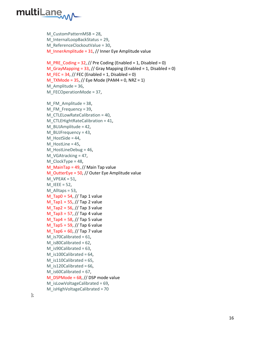

```
M_CustomPatternMSB = 28,
M InternalLoopBackStatus = 29,
M_ReferenceClockoutValue = 30,
M InnerAmplitude = 31, // Inner Eye Amplitude value
```

```
M_PRE_Coding = 32, // Pre Coding (Enabled = 1, Disabled = 0)
M_GGrayMapping = 33, // Gray Mapping (Enabled = 1, Disabled = 0)
M_FEC = 34, // FEC (Enabled = 1, Disabled = 0)
M_TXMode = 35, // Eye Mode (PAM4 = 0, NRZ = 1)
M_Amplitude = 36,
M_FECOperationMode = 37,
```

```
M FM Amplitude = 38,
M_FM_Frequency = 39,
M_CTLELowRateCalibration = 40,
M_CTLEHightRateCalibration = 41,
M BUJAmplitude = 42,
M_BUJFrequency = 43,
M HostSide = 44,
M HostLine = 45,
M_HostLineDebug = 46,
M VGAtracking = 47,
M_ClockType = 48,
M MainTap = 49, // Main Tap value
M_OutterEye = 50, // Outer Eye Amplitude value 
M VPEAK = 51,
M<sup>IEEE</sup> = 52,
M Alltaps = 53,
M_{1}Tap0 = 54, // Tap 1 value
M Tap1 = 55, // Tap 2 value
M_Tap2 = 56, // Tap 3 value 
M_Tap3 = 57, // Tap 4 value 
M Tap4 = 58, // Tap 5 value
M Tap5 = 59, // Tap 6 value
M Tap6 = 60, // Tap 7 value
M_is70Calibrated = 61,
M is80Calibrated = 62,
M_is90Calibrated = 63,
M_is100Calibrated = 64,
M_is110Calibrated = 65,
M_is120Calibrated = 66,
M_is60Calibrated = 67,
M_DSPMode = 68, // DSP mode value 
M isLowVoltageCalibrated = 69,
M_isHighVoltageCalibrated = 70
```
};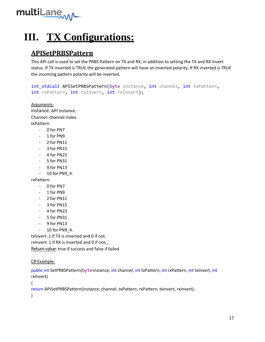

# **III. TX Configurations:**

#### <span id="page-16-0"></span>**APISetPRBSPattern**

This API call is used to set the PRBS Pattern on TX and RX, in addition to setting the TX and RX Invert status. If TX inverted is TRUE the generated pattern will have an inverted polarity, If RX inverted is TRUE the incoming pattern polarity will be inverted.

```
int stdcall APISetPRBSPattern(byte instance, int channel, int txPattern,
int rxPattern, int txInvert, int rxInvert);
```
Arguments: instance: API instance. Channel: channel index. txPattern:

- 0 for PN7
- 1 for PN9
- 2 for PN11
- 3 for PN15
- 4 for PN23
- 5 for PN31
- 9 for PN13
- 10 for PN9\_4.

rxPattern:

- 0 for PN7
- 1 for PN9
- 2 for PN11
- 3 for PN15
- 4 for PN23
- 5 for PN31
- 9 for PN13
- 10 for PN9\_4.

txInvert: 1 if TX is inverted and 0 if not.

rxInvert: 1 if RX is inverted and 0 if not.

Return value: true if success and false if failed.

C# Example:

public int SetPRBSPattern(byteinstance, int channel, int txPattern, int rxPattern, int txInvert, int rxInvert)

```
{
```
return APISetPRBSPattern(instance, channel, txPattern, rxPattern, txInvert, rxInvert);

}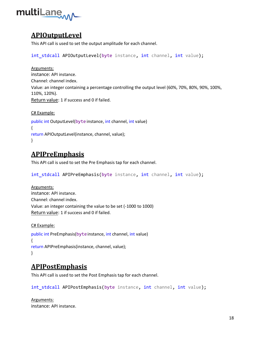

## <span id="page-17-0"></span>**APIOutputLevel**

This API call is used to set the output amplitude for each channel.

int stdcall APIOutputLevel(byte instance, int channel, int value);

Arguments: instance: API instance. Channel: channel index. Value: an integer containing a percentage controlling the output level (60%, 70%, 80%, 90%, 100%, 110%, 120%). Return value: 1 if success and 0 if failed.

```
C# Example:
public int OutputLevel(byte instance, int channel, int value)
{
return APIOutputLevel(instance, channel, value);
}
```
## <span id="page-17-1"></span>**APIPreEmphasis**

This API call is used to set the Pre Emphasis tap for each channel.

int\_stdcall APIPreEmphasis(byte instance, int channel, int value);

Arguments: instance: API instance. Channel: channel index. Value: an integer containing the value to be set (-1000 to 1000) Return value: 1 if success and 0 if failed.

```
C# Example:
public int PreEmphasis(byte instance, int channel, int value)
{
return APIPreEmphasis(instance, channel, value);
}
```
#### <span id="page-17-2"></span>**APIPostEmphasis**

This API call is used to set the Post Emphasis tap for each channel.

int\_stdcall APIPostEmphasis(byte instance, int channel, int value);

Arguments: instance: API instance.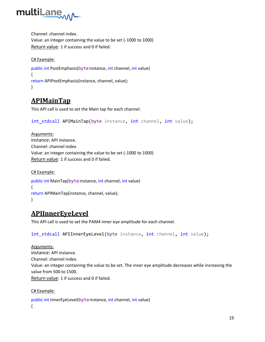

Channel: channel index. Value: an integer containing the value to be set (-1000 to 1000) Return value: 1 if success and 0 if failed.

#### C# Example:

```
public int PostEmphasis(byteinstance, int channel, int value)
{
return APIPostEmphasis(instance, channel, value);
}
```
#### <span id="page-18-0"></span>**APIMainTap**

This API call is used to set the Main tap for each channel.

```
int stdcall APIMainTap(byte instance, int channel, int value);
```
Arguments: instance: API instance. Channel: channel index. Value: an integer containing the value to be set (-1000 to 1000) Return value: 1 if success and 0 if failed.

#### C# Example:

```
public int MainTap(byte instance, int channel, int value)
{
return APIMainTap(instance, channel, value);
}
```
#### <span id="page-18-1"></span>**APIInnerEyeLevel**

This API call is used to set the PAM4 inner eye amplitude for each channel.

```
int stdcall APIInnerEyeLevel(byte instance, int channel, int value);
```
Arguments: instance: API instance. Channel: channel index. Value: an integer containing the value to be set. The inner eye amplitude decreases while increasing the value from 500 to 1500. Return value: 1 if success and 0 if failed.

#### C# Example:

```
public int InnerEyeLevel(byteinstance, int channel, int value)
{
```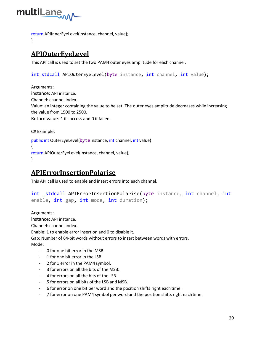

return APIInnerEyeLevel(instance, channel, value);

}

# <span id="page-19-0"></span>**APIOuterEyeLevel**

This API call is used to set the two PAM4 outer eyes amplitude for each channel.

int stdcall APIOuterEyeLevel(byte instance, int channel, int value);

Arguments: instance: API instance. Channel: channel index. Value: an integer containing the value to be set. The outer eyes amplitude decreases while increasing the value from 1500 to 2500. Return value: 1 if success and 0 if failed.

C# Example:

public int OuterEyeLevel(byteinstance, int channel, int value) { return APIOuterEyeLevel(instance, channel, value); }

#### <span id="page-19-1"></span>**APIErrorInsertionPolarise**

This API call is used to enable and insert errors into each channel.

int stdcall APIErrorInsertionPolarise(byte instance, int channel, int enable, int gap, int mode, int duration);

Arguments: instance: API instance. Channel: channel index. Enable: 1 to enable error insertion and 0 to disable it. Gap: Number of 64-bit words without errors to insert between words with errors. Mode:

- 0 for one bit error in the MSB.
- 1 for one bit error in the LSB.
- 2 for 1 error in the PAM4 symbol.
- 3 for errors on all the bits of the MSB.
- 4 for errors on all the bits of the LSB.
- 5 for errors on all bits of the LSB and MSB.
- 6 for error on one bit per word and the position shifts right each time.
- 7 for error on one PAM4 symbol per word and the position shifts right eachtime.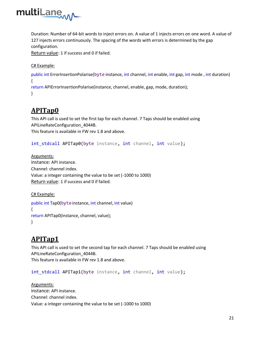

Duration: Number of 64-bit words to inject errors on. A value of 1 injects errors on one word. A value of 127 injects errors continuously. The spacing of the words with errors is determined by the gap configuration.

Return value: 1 if success and 0 if failed.

C# Example:

public int ErrorInsertionPolarise(byte instance, int channel, int enable, int gap, int mode , int duration) {

return APIErrorInsertionPolarise(instance, channel, enable, gap, mode, duration); }

#### <span id="page-20-0"></span>**APITap0**

This API call is used to set the first tap for each channel. 7 Taps should be enabled using APILineRateConfiguration\_4044B.

This feature is available in FW rev 1.8 and above.

int\_stdcall APITap0(byte instance, int channel, int value);

Arguments: instance: API instance. Channel: channel index. Value: a integer containing the value to be set (-1000 to 1000) Return value: 1 if success and 0 if failed.

C# Example:

```
public int Tap0(byte instance, int channel, int value)
{
return APITap0(instance, channel, value);
}
```
# <span id="page-20-1"></span>**APITap1**

This API call is used to set the second tap for each channel. 7 Taps should be enabled using APILineRateConfiguration\_4044B.

This feature is available in FW rev 1.8 and above.

int\_stdcall APITap1(byte instance, int channel, int value);

Arguments: instance: API instance. Channel: channel index. Value: a integer containing the value to be set (-1000 to 1000)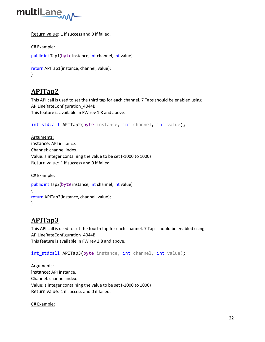

Return value: 1 if success and 0 if failed.

```
C# Example:
```

```
public int Tap1(byte instance, int channel, int value)
{
return APITap1(instance, channel, value);
}
```
#### <span id="page-21-0"></span>**APITap2**

This API call is used to set the third tap for each channel. 7 Taps should be enabled using APILineRateConfiguration\_4044B.

This feature is available in FW rev 1.8 and above.

```
int stdcall APITap2(byte instance, int channel, int value);
```
Arguments: instance: API instance. Channel: channel index. Value: a integer containing the value to be set (-1000 to 1000) Return value: 1 if success and 0 if failed.

```
C# Example:
public int Tap2(byte instance, int channel, int value)
{
return APITap2(instance, channel, value);
}
```
#### <span id="page-21-1"></span>**APITap3**

This API call is used to set the fourth tap for each channel. 7 Taps should be enabled using APILineRateConfiguration\_4044B. This feature is available in FW rev 1.8 and above.

int\_stdcall APITap3(byte instance, int channel, int value);

Arguments: instance: API instance. Channel: channel index. Value: a integer containing the value to be set (-1000 to 1000) Return value: 1 if success and 0 if failed.

C# Example: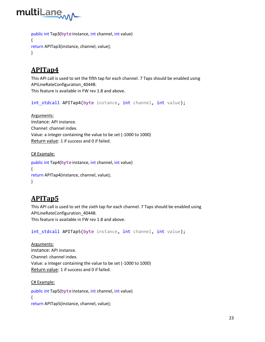

```
public int Tap3(byte instance, int channel, int value)
{
return APITap3(instance, channel, value);
}
```
# <span id="page-22-0"></span>**APITap4**

This API call is used to set the fifth tap for each channel. 7 Taps should be enabled using APILineRateConfiguration\_4044B. This feature is available in FW rev 1.8 and above.

```
int stdcall APITap4(byte instance, int channel, int value);
```
Arguments: instance: API instance. Channel: channel index. Value: a integer containing the value to be set (-1000 to 1000) Return value: 1 if success and 0 if failed.

#### C# Example:

```
public int Tap4(byte instance, int channel, int value)
{
return APITap4(instance, channel, value);
}
```
#### <span id="page-22-1"></span>**APITap5**

C# Example:

This API call is used to set the sixth tap for each channel. 7 Taps should be enabled using APILineRateConfiguration\_4044B. This feature is available in FW rev 1.8 and above.

int\_stdcall APITap5(byte instance, int channel, int value);

Arguments: instance: API instance. Channel: channel index. Value: a integer containing the value to be set (-1000 to 1000) Return value: 1 if success and 0 if failed.

public int Tap5(byte instance, int channel, int value) { return APITap5(instance, channel, value);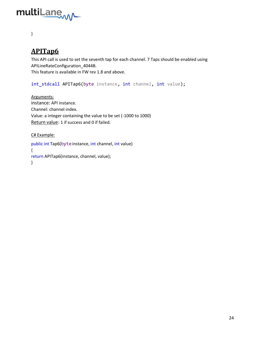

#### }

#### <span id="page-23-0"></span>**APITap6**

This API call is used to set the seventh tap for each channel. 7 Taps should be enabled using APILineRateConfiguration\_4044B. This feature is available in FW rev 1.8 and above.

int\_stdcall APITap6(byte instance, int channel, int value);

Arguments: instance: API instance. Channel: channel index. Value: a integer containing the value to be set (-1000 to 1000) Return value: 1 if success and 0 if failed.

C# Example:

public int Tap6(byte instance, int channel, int value) { return APITap6(instance, channel, value); }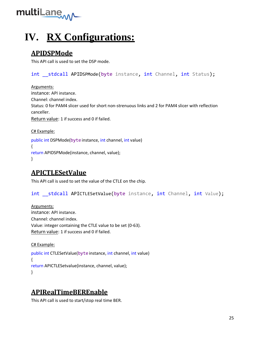

# **IV. RX Configurations:**

# <span id="page-24-0"></span>**APIDSPMode**

This API call is used to set the DSP mode.

int stdcall APIDSPMode(byte instance, int Channel, int Status);

Arguments: instance: API instance. Channel: channel index. Status: 0 for PAM4 slicer used for short non-strenuous links and 2 for PAM4 slicer with reflection canceller. Return value: 1 if success and 0 if failed.

C# Example:

public int DSPMode(byte instance, int channel, int value) { return APIDSPMode(instance, channel, value); }

# <span id="page-24-1"></span>**APICTLESetValue**

This API call is used to set the value of the CTLE on the chip.

int \_\_stdcall APICTLESetValue(byte instance, int Channel, int Value);

Arguments: instance: API instance. Channel: channel index. Value: integer containing the CTLE value to be set (0-63). Return value: 1 if success and 0 if failed.

C# Example:

public int CTLESetValue(byte instance, int channel, int value) { return APICTLESetvalue(instance, channel, value); }

# <span id="page-24-2"></span>**APIRealTimeBEREnable**

This API call is used to start/stop real time BER.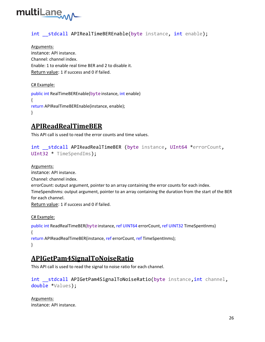

#### int stdcall APIRealTimeBEREnable(byte instance, int enable);

Arguments: instance: API instance. Channel: channel index. Enable: 1 to enable real time BER and 2 to disable it. Return value: 1 if success and 0 if failed.

C# Example:

public int RealTimeBEREnable(byteinstance, int enable) { return APIRealTimeBEREnable(instance, enable); }

## <span id="page-25-0"></span>**APIReadRealTimeBER**

This API call is used to read the error counts and time values.

```
int stdcall APIReadRealTimeBER (byte instance, UInt64 *errorCount,
UInt32 * TimeSpendIms);
```
Arguments: instance: API instance. Channel: channel index. errorCount: output argument, pointer to an array containing the error counts for each index. TimeSpendInms: output argument, pointer to an array containing the duration from the start of the BER for each channel. Return value: 1 if success and 0 if failed.

C# Example:

```
public int ReadRealTimeBER(byteinstance, ref UINT64 errorCount, ref UINT32 TimeSpentInms)
{
return APIReadRealTimeBER(instance, ref errorCount, ref TimeSpentInms);
}
```
#### <span id="page-25-1"></span>**APIGetPam4SignalToNoiseRatio**

This API call is used to read the signal to noise ratio for each channel.

int stdcall APIGetPam4SignalToNoiseRatio(byte instance, int channel, double \*Values);

Arguments: instance: API instance.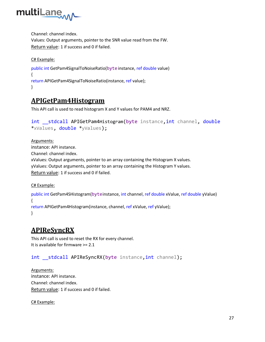

Channel: channel index.

Values: Output arguments, pointer to the SNR value read from the FW. Return value: 1 if success and 0 if failed.

C# Example:

```
public int GetPam4SignalToNoiseRatio(byte instance, ref double value)
{
return APIGetPam4SignalToNoiseRatio(instance, ref value);
}
```
#### <span id="page-26-0"></span>**APIGetPam4Histogram**

This API call is used to read histogram X and Y values for PAM4 and NRZ.

```
int __stdcall APIGetPam4Histogram(byte instance, int channel, double
*xValues, double *yValues);
```
Arguments: instance: API instance. Channel: channel index. xValues: Output arguments, pointer to an array containing the Histogram X values. yValues: Output arguments, pointer to an array containing the Histogram Y values. Return value: 1 if success and 0 if failed.

C# Example:

public int GetPam4SHistogram(byteinstance, int channel, ref double xValue, ref double yValue) { return APIGetPam4Histogram(instance, channel, ref xValue, ref yValue); }

#### <span id="page-26-1"></span>**APIReSyncRX**

This API call is used to reset the RX for every channel. It is available for firmware >= 2.1

#### int \_\_stdcall APIReSyncRX(byte instance, int channel);

Arguments: instance: API instance. Channel: channel index. Return value: 1 if success and 0 if failed.

C# Example: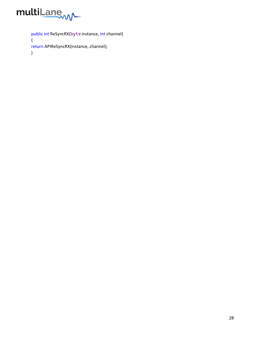

public int ReSyncRX(byte instance, int channel) { return APIReSyncRX(instance, channel); }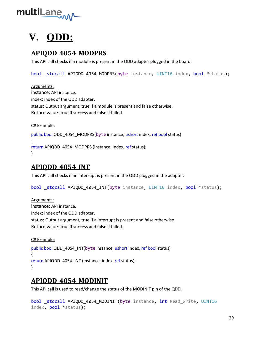

# **V. QDD:**

## <span id="page-28-0"></span>**APIQDD\_4054\_MODPRS**

This API call checks if a module is present in the QDD adapter plugged in the board.

bool stdcall APIQDD 4054 MODPRS(byte instance, UINT16 index, bool \*status);

Arguments: instance: API instance. index: index of the QDD adapter. status: Output argument, true if a module is present and false otherwise. Return value: true if success and false if failed.

C# Example: public bool QDD\_4054\_MODPRS(byteinstance, ushort index, ref bool status) { return APIQDD 4054 MODPRS (instance, index, ref status); }

#### <span id="page-28-1"></span>**APIQDD\_4054\_INT**

This API call checks if an interrupt is present in the QDD plugged in the adapter.

bool \_stdcall APIQDD\_4054\_INT(byte instance, UINT16 index, bool \*status);

Arguments: instance: API instance. index: index of the QDD adapter. status: Output argument, true if a interrupt is present and false otherwise. Return value: true if success and false if failed.

C# Example:

public bool QDD\_4054\_INT(byte instance, ushort index, ref bool status) { return APIQDD\_4054\_INT (instance, index, ref status); }

#### <span id="page-28-2"></span>**APIQDD\_4054\_MODINIT**

This API call is used to read/change the status of the MODINIT pin of the QDD.

```
bool stdcall APIQDD 4054 MODINIT(byte instance, int Read Write, UINT16
index, bool *status);
```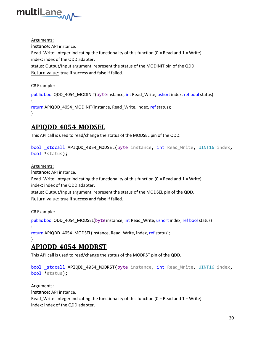

Arguments: instance: API instance. Read\_Write: integer indicating the functionality of this function ( $0 =$  Read and  $1 =$  Write) index: index of the QDD adapter. status: Output/Input argument, represent the status of the MODINIT pin of the QDD.

Return value: true if success and false if failed.

C# Example:

public bool QDD\_4054\_MODINIT(byteinstance, int Read\_Write, ushort index, ref bool status) { return APIQDD\_4054\_MODINIT(instance, Read\_Write, index, ref status); }

#### <span id="page-29-0"></span>**APIQDD\_4054\_MODSEL**

This API call is used to read/change the status of the MODSEL pin of the QDD.

```
bool stdcall APIQDD 4054 MODSEL(byte instance, int Read_Write, UINT16 index,
bool *status);
```
Arguments:

instance: API instance.

Read Write: integer indicating the functionality of this function ( $0 =$  Read and  $1 =$  Write) index: index of the QDD adapter.

status: Output/Input argument, represent the status of the MODSEL pin of the QDD. Return value: true if success and false if failed.

C# Example:

public bool QDD\_4054\_MODSEL(byteinstance, int Read\_Write, ushort index, ref bool status) {

return APIQDD\_4054\_MODSEL(instance, Read\_Write, index, ref status);

#### <span id="page-29-1"></span>} **APIQDD\_4054\_MODRST**

This API call is used to read/change the status of the MODRST pin of the QDD.

```
bool stdcall APIQDD 4054 MODRST(byte instance, int Read Write, UINT16 index,
bool *status);
```
Arguments:

instance: API instance.

```
Read_Write: integer indicating the functionality of this function (0 = Read and 1 = Write)
index: index of the QDD adapter.
```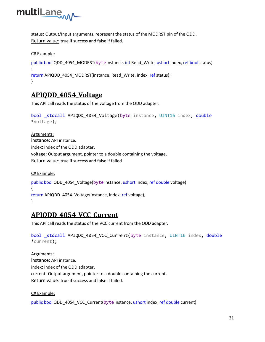

status: Output/Input arguments, represent the status of the MODRST pin of the QDD. Return value: true if success and false if failed.

#### C# Example:

```
public bool QDD_4054_MODRST(byteinstance, int Read_Write, ushort index, ref bool status)
{
return APIQDD_4054_MODRST(instance, Read_Write, index, ref status);
}
```
#### <span id="page-30-0"></span>**APIQDD\_4054\_Voltage**

This API call reads the status of the voltage from the QDD adapter.

```
bool _stdcall APIQDD_4054_Voltage(byte instance, UINT16 index, double
*voltage);
```
Arguments: instance: API instance. index: index of the QDD adapter. voltage: Output argument, pointer to a double containing the voltage. Return value: true if success and false if failed.

C# Example: public bool QDD\_4054\_Voltage(byteinstance, ushort index, ref double voltage) { return APIQDD\_4054\_Voltage(instance, index, ref voltage); }

#### <span id="page-30-1"></span>**APIQDD\_4054\_VCC\_Current**

This API call reads the status of the VCC current from the QDD adapter.

```
bool stdcall APIQDD 4054 VCC Current(byte instance, UINT16 index, double
*current);
```
Arguments: instance: API instance. index: index of the QDD adapter. current: Output argument, pointer to a double containing the current. Return value: true if success and false if failed.

C# Example:

public bool QDD\_4054\_VCC\_Current(byteinstance, ushort index, ref double current)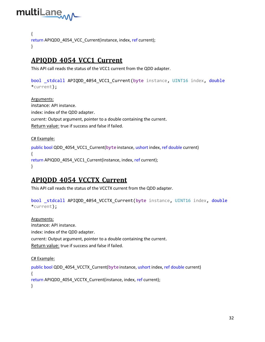

```
{
return APIQDD_4054_VCC_Current(instance, index, ref current);
}
```
## <span id="page-31-0"></span>**APIQDD\_4054\_VCC1\_Current**

This API call reads the status of the VCC1 current from the QDD adapter.

bool stdcall APIQDD 4054 VCC1 Current(byte instance, UINT16 index, double \*current);

Arguments: instance: API instance. index: index of the QDD adapter. current: Output argument, pointer to a double containing the current. Return value: true if success and false if failed.

#### C# Example:

public bool QDD\_4054\_VCC1\_Current(byte instance, ushort index, ref double current) { return APIQDD\_4054\_VCC1\_Current(instance, index, ref current); }

#### <span id="page-31-1"></span>**APIQDD\_4054\_VCCTX\_Current**

This API call reads the status of the VCCTX current from the QDD adapter.

```
bool stdcall APIQDD 4054 VCCTX Current(byte instance, UINT16 index, double
*current);
```
Arguments: instance: API instance. index: index of the QDD adapter. current: Output argument, pointer to a double containing the current. Return value: true if success and false if failed.

C# Example:

```
public bool QDD_4054_VCCTX_Current(byteinstance, ushort index, ref double current)
{
return APIQDD_4054_VCCTX_Current(instance, index, ref current);
}
```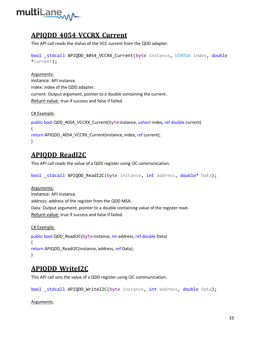

#### <span id="page-32-0"></span>**APIQDD\_4054\_VCCRX\_Current**

This API call reads the status of the VCC current from the QDD adapter.

bool stdcall APIQDD 4054 VCCRX Current(byte instance, UINT16 index, double \*current);

#### Arguments: instance: API instance. index: index of the QDD adapter. current: Output argument, pointer to a double containing the current. Return value: true if success and false if failed.

C# Example:

public bool QDD\_4054\_VCCRX\_Current(byteinstance, ushort index, ref double current) { return APIQDD\_4054\_VCCRX\_Current(instance, index, ref current); }

# <span id="page-32-1"></span>**APIQDD\_ReadI2C**

This API call reads the value of a QDD register using I2C communication.

bool \_stdcall APIQDD\_ReadI2C(byte instance, int address, double\* Data);

#### Arguments:

instance: API instance. address: address of the register from the QDD MSA. Data: Output argument, pointer to a double containing value of the register read. Return value: true if success and false if failed.

```
C# Example:
public bool QDD_ReadI2C(byte instance, int address, ref double Data)
{
return APIQDD_ReadI2C(instance, address, ref Data);
}
```
# <span id="page-32-2"></span>**APIQDD\_WriteI2C**

This API call sets the value of a QDD register using I2C communication.

bool stdcall APIQDD WriteI2C(byte instance, int address, double Data);

Arguments: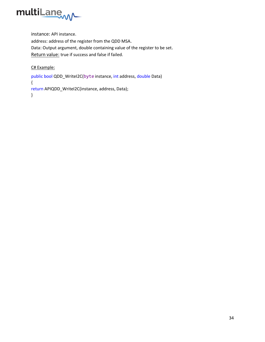

instance: API instance. address: address of the register from the QDD MSA. Data: Output argument, double containing value of the register to be set. Return value: true if success and false if failed.

C# Example:

public bool QDD\_WriteI2C(byte instance, int address, double Data) { return APIQDD\_WriteI2C(instance, address, Data); }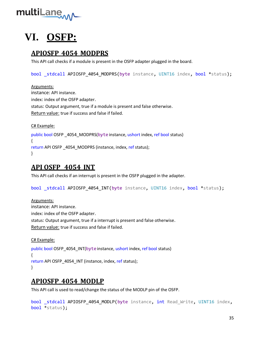

# **VI. OSFP:**

#### <span id="page-34-0"></span>**APIOSFP\_4054\_MODPRS**

This API call checks if a module is present in the OSFP adapter plugged in the board.

bool stdcall APIOSFP 4054 MODPRS(byte instance, UINT16 index, bool \*status);

Arguments: instance: API instance. index: index of the OSFP adapter. status: Output argument, true if a module is present and false otherwise. Return value: true if success and false if failed.

C# Example:

public bool OSFP \_4054\_MODPRS(byte instance, ushort index, ref bool status) { return API OSFP \_4054\_MODPRS (instance, index, ref status); }

#### <span id="page-34-1"></span>**API OSFP \_4054\_INT**

This API call checks if an interrupt is present in the OSFP plugged in the adapter.

bool stdcall APIOSFP 4054 INT(byte instance, UINT16 index, bool \*status);

Arguments: instance: API instance. index: index of the OSFP adapter. status: Output argument, true if a interrupt is present and false otherwise. Return value: true if success and false if failed.

C# Example:

public bool OSFP\_4054\_INT(byteinstance, ushort index, ref bool status) { return API OSFP 4054 INT (instance, index, ref status); }

#### <span id="page-34-2"></span>**APIOSFP\_4054\_MODLP**

This API call is used to read/change the status of the MODLP pin of the OSFP.

```
bool stdcall APIOSFP 4054 MODLP(byte instance, int Read Write, UINT16 index,
bool *status);
```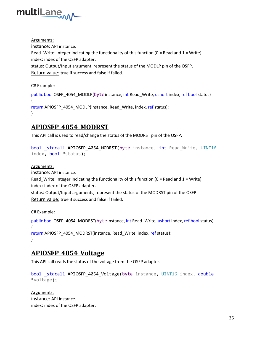

Arguments: instance: API instance. Read Write: integer indicating the functionality of this function ( $0 =$  Read and  $1 =$  Write) index: index of the OSFP adapter. status: Output/Input argument, represent the status of the MODLP pin of the OSFP. Return value: true if success and false if failed.

C# Example:

public bool OSFP\_4054\_MODLP(byteinstance, int Read\_Write, ushort index, ref bool status) { return APIOSFP\_4054\_MODLP(instance, Read\_Write, index, ref status); }

#### <span id="page-35-0"></span>**APIOSFP\_4054\_MODRST**

This API call is used to read/change the status of the MODRST pin of the OSFP.

```
bool _stdcall APIOSFP_4054_MODRST(byte instance, int Read_Write, UINT16 
index, bool *status);
```
#### Arguments:

instance: API instance.

```
Read_Write: integer indicating the functionality of this function (0 = Read and 1 = Write)
index: index of the OSFP adapter.
```
status: Output/Input arguments, represent the status of the MODRST pin of the OSFP. Return value: true if success and false if failed.

C# Example:

```
public bool OSFP_4054_MODRST(byteinstance, int Read_Write, ushort index, ref bool status)
{
return APIOSFP 4054 MODRST(instance, Read Write, index, ref status);
}
```
#### <span id="page-35-1"></span>**APIOSFP\_4054\_Voltage**

This API call reads the status of the voltage from the OSFP adapter.

```
bool stdcall APIOSFP 4054 Voltage(byte instance, UINT16 index, double
*voltage);
```
Arguments: instance: API instance. index: index of the OSFP adapter.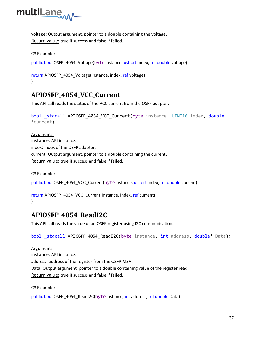

voltage: Output argument, pointer to a double containing the voltage. Return value: true if success and false if failed.

#### C# Example:

```
public bool OSFP_4054_Voltage(byteinstance, ushort index, ref double voltage)
{
return APIOSFP_4054_Voltage(instance, index, ref voltage);
}
```
#### <span id="page-36-0"></span>**APIOSFP\_4054\_VCC\_Current**

This API call reads the status of the VCC current from the OSFP adapter.

```
bool _stdcall APIOSFP_4054_VCC_Current(byte instance, UINT16 index, double
*current);
```
Arguments: instance: API instance. index: index of the OSFP adapter. current: Output argument, pointer to a double containing the current. Return value: true if success and false if failed.

```
C# Example:
public bool OSFP_4054_VCC_Current(byteinstance, ushort index, ref double current)
{
return APIOSFP_4054_VCC_Current(instance, index, ref current);
}
```
#### <span id="page-36-1"></span>**APIOSFP\_4054\_ReadI2C**

This API call reads the value of an OSFP register using I2C communication.

bool \_stdcall APIOSFP\_4054\_ReadI2C(byte instance, int address, double\* Data);

Arguments: instance: API instance. address: address of the register from the OSFP MSA. Data: Output argument, pointer to a double containing value of the register read. Return value: true if success and false if failed.

C# Example:

```
public bool OSFP_4054_ReadI2C(byteinstance, int address, ref double Data)
{
```